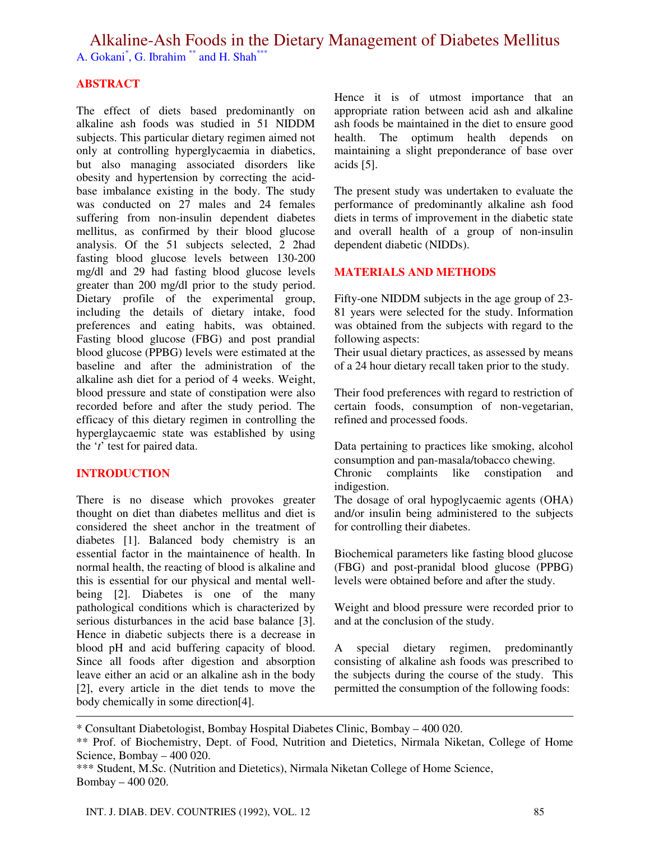Alkaline-Ash Foods in the Dietary Management of Diabetes Mellitus A. Gokani<sup>\*</sup>, G. Ibrahim<sup>\*\*</sup> and H. Shah<sup>\*\*\*</sup>

**ABSTRACT**

The effect of diets based predominantly on alkaline ash foods was studied in 51 NIDDM subjects. This particular dietary regimen aimed not only at controlling hyperglycaemia in diabetics, but also managing associated disorders like obesity and hypertension by correcting the acidbase imbalance existing in the body. The study was conducted on 27 males and 24 females suffering from non-insulin dependent diabetes mellitus, as confirmed by their blood glucose analysis. Of the 51 subjects selected, 2 2had fasting blood glucose levels between 130-200 mg/dl and 29 had fasting blood glucose levels greater than 200 mg/dl prior to the study period. Dietary profile of the experimental group, including the details of dietary intake, food preferences and eating habits, was obtained. Fasting blood glucose (FBG) and post prandial blood glucose (PPBG) levels were estimated at the baseline and after the administration of the alkaline ash diet for a period of 4 weeks. Weight, blood pressure and state of constipation were also recorded before and after the study period. The efficacy of this dietary regimen in controlling the hyperglaycaemic state was established by using the '*t*' test for paired data.

## **INTRODUCTION**

There is no disease which provokes greater thought on diet than diabetes mellitus and diet is considered the sheet anchor in the treatment of diabetes [1]. Balanced body chemistry is an essential factor in the maintainence of health. In normal health, the reacting of blood is alkaline and this is essential for our physical and mental wellbeing [2]. Diabetes is one of the many pathological conditions which is characterized by serious disturbances in the acid base balance [3]. Hence in diabetic subjects there is a decrease in blood pH and acid buffering capacity of blood. Since all foods after digestion and absorption leave either an acid or an alkaline ash in the body [2], every article in the diet tends to move the body chemically in some direction[4].

Hence it is of utmost importance that an appropriate ration between acid ash and alkaline ash foods be maintained in the diet to ensure good health. The optimum health depends on maintaining a slight preponderance of base over acids [5].

The present study was undertaken to evaluate the performance of predominantly alkaline ash food diets in terms of improvement in the diabetic state and overall health of a group of non-insulin dependent diabetic (NIDDs).

#### **MATERIALS AND METHODS**

Fifty-one NIDDM subjects in the age group of 23- 81 years were selected for the study. Information was obtained from the subjects with regard to the following aspects:

Their usual dietary practices, as assessed by means of a 24 hour dietary recall taken prior to the study.

Their food preferences with regard to restriction of certain foods, consumption of non-vegetarian, refined and processed foods.

Data pertaining to practices like smoking, alcohol consumption and pan-masala/tobacco chewing.<br>Chronic complaints like constipation

Chronic complaints like constipation and indigestion.

The dosage of oral hypoglycaemic agents (OHA) and/or insulin being administered to the subjects for controlling their diabetes.

Biochemical parameters like fasting blood glucose (FBG) and post-pranidal blood glucose (PPBG) levels were obtained before and after the study.

Weight and blood pressure were recorded prior to and at the conclusion of the study.

A special dietary regimen, predominantly consisting of alkaline ash foods was prescribed to the subjects during the course of the study. This permitted the consumption of the following foods:

\* Consultant Diabetologist, Bombay Hospital Diabetes Clinic, Bombay – 400 020.

<sup>\*\*</sup> Prof. of Biochemistry, Dept. of Food, Nutrition and Dietetics, Nirmala Niketan, College of Home Science, Bombay – 400 020.

<sup>\*\*\*</sup> Student, M.Sc. (Nutrition and Dietetics), Nirmala Niketan College of Home Science, Bombay – 400 020.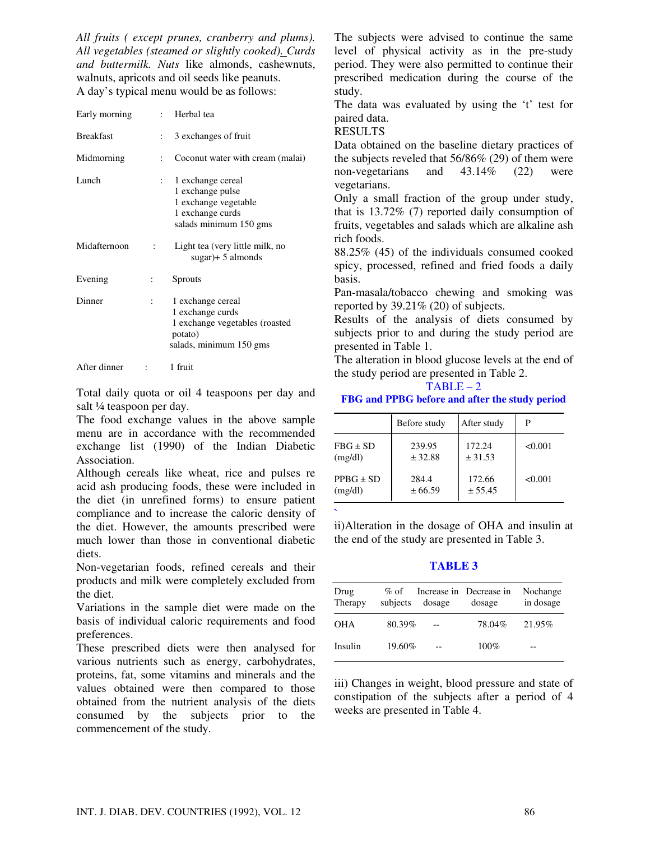*All fruits ( except prunes, cranberry and plums). All vegetables (steamed or slightly cooked). Curds and buttermilk. Nuts* like almonds, cashewnuts, walnuts, apricots and oil seeds like peanuts. A day's typical menu would be as follows:

| Early morning    |                | : Herbal tea                                                                                                  |
|------------------|----------------|---------------------------------------------------------------------------------------------------------------|
| <b>Breakfast</b> | ÷              | 3 exchanges of fruit                                                                                          |
| Midmorning       | ÷              | Coconut water with cream (malai)                                                                              |
| Lunch            | $\ddot{\cdot}$ | 1 exchange cereal<br>1 exchange pulse<br>1 exchange vegetable<br>1 exchange curds<br>salads minimum 150 gms   |
| Midafternoon     | $\ddot{\cdot}$ | Light tea (very little milk, no<br>$sugar$ + 5 almonds                                                        |
| Evening          |                | <b>Sprouts</b>                                                                                                |
| Dinner           |                | 1 exchange cereal<br>1 exchange curds<br>1 exchange vegetables (roasted<br>potato)<br>salads, minimum 150 gms |
| After dinner     |                | 1 fruit                                                                                                       |

Total daily quota or oil 4 teaspoons per day and salt ¼ teaspoon per day.

The food exchange values in the above sample menu are in accordance with the recommended exchange list (1990) of the Indian Diabetic Association.

Although cereals like wheat, rice and pulses re acid ash producing foods, these were included in the diet (in unrefined forms) to ensure patient compliance and to increase the caloric density of the diet. However, the amounts prescribed were much lower than those in conventional diabetic diets.

Non-vegetarian foods, refined cereals and their products and milk were completely excluded from the diet.

Variations in the sample diet were made on the basis of individual caloric requirements and food preferences.

These prescribed diets were then analysed for various nutrients such as energy, carbohydrates, proteins, fat, some vitamins and minerals and the values obtained were then compared to those obtained from the nutrient analysis of the diets consumed by the subjects prior to the commencement of the study.

The subjects were advised to continue the same level of physical activity as in the pre-study period. They were also permitted to continue their prescribed medication during the course of the study.

The data was evaluated by using the 't' test for paired data.

RESULTS

**`**

Data obtained on the baseline dietary practices of the subjects reveled that 56/86% (29) of them were non-vegetarians and 43.14% (22) were vegetarians.

Only a small fraction of the group under study, that is 13.72% (7) reported daily consumption of fruits, vegetables and salads which are alkaline ash rich foods.

88.25% (45) of the individuals consumed cooked spicy, processed, refined and fried foods a daily basis.

Pan-masala/tobacco chewing and smoking was reported by 39.21% (20) of subjects.

Results of the analysis of diets consumed by subjects prior to and during the study period are presented in Table 1.

The alteration in blood glucose levels at the end of the study period are presented in Table 2.

#### $TABLE - 2$

#### **FBG and PPBG before and after the study period**

|               | Before study | After study | P       |
|---------------|--------------|-------------|---------|
| $FBG \pm SD$  | 239.95       | 172.24      | < 0.001 |
| (mg/dl)       | ± 32.88      | ± 31.53     |         |
| $PPBG \pm SD$ | 284.4        | 172.66      | < 0.001 |
| (mg/dl)       | ± 66.59      | ± 55.45     |         |

ii)Alteration in the dosage of OHA and insulin at the end of the study are presented in Table 3.

## **TABLE 3**

| Drug<br>Therapy | $\%$ of<br>subjects | dosage | Increase in Decrease in<br>dosage | Nochange<br>in dosage |
|-----------------|---------------------|--------|-----------------------------------|-----------------------|
| OHA             | 80.39%              | $-$    | 78.04%                            | 21.95%                |
| Insulin         | 19.60%              |        | $100\%$                           |                       |

iii) Changes in weight, blood pressure and state of constipation of the subjects after a period of 4 weeks are presented in Table 4.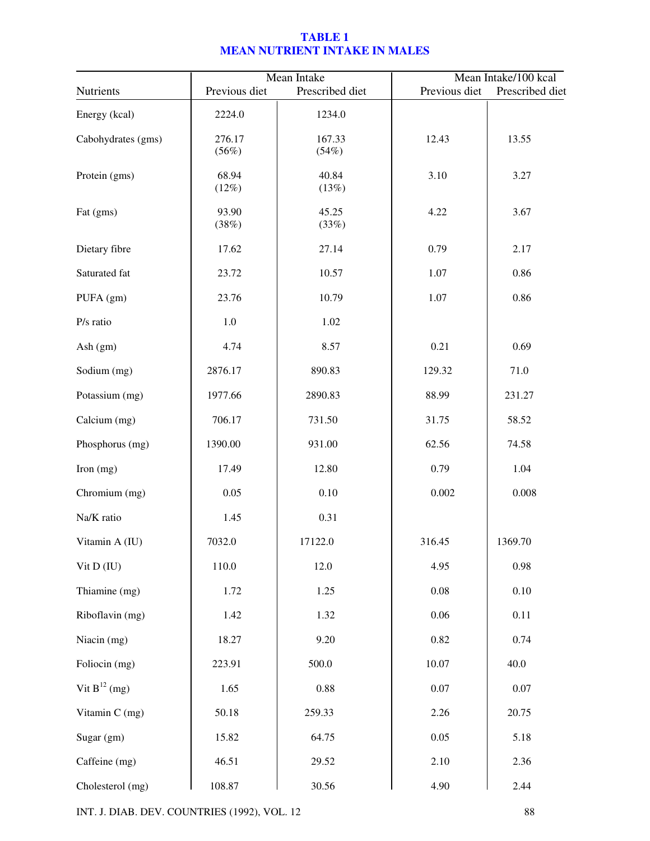# **TABLE 1 MEAN NUTRIENT INTAKE IN MALES**

|                    |                 | Mean Intake     | Mean Intake/100 kcal |                 |  |
|--------------------|-----------------|-----------------|----------------------|-----------------|--|
| Nutrients          | Previous diet   | Prescribed diet | Previous diet        | Prescribed diet |  |
| Energy (kcal)      | 2224.0          | 1234.0          |                      |                 |  |
| Cabohydrates (gms) | 276.17<br>(56%) | 167.33<br>(54%) | 12.43                | 13.55           |  |
| Protein (gms)      | 68.94<br>(12%)  | 40.84<br>(13%)  | 3.10                 | 3.27            |  |
| Fat (gms)          | 93.90<br>(38%)  | 45.25<br>(33%)  | 4.22                 | 3.67            |  |
| Dietary fibre      | 17.62           | 27.14           | 0.79                 | 2.17            |  |
| Saturated fat      | 23.72           | 10.57           | 1.07                 | 0.86            |  |
| PUFA (gm)          | 23.76           | 10.79           | 1.07                 | 0.86            |  |
| P/s ratio          | $1.0\,$         | 1.02            |                      |                 |  |
| Ash (gm)           | 4.74            | 8.57            | 0.21                 | 0.69            |  |
| Sodium (mg)        | 2876.17         | 890.83          | 129.32               | 71.0            |  |
| Potassium (mg)     | 1977.66         | 2890.83         | 88.99                | 231.27          |  |
| Calcium (mg)       | 706.17          | 731.50          | 31.75                | 58.52           |  |
| Phosphorus (mg)    | 1390.00         | 931.00          | 62.56                | 74.58           |  |
| Iron $(mg)$        | 17.49           | 12.80           | 0.79                 | 1.04            |  |
| Chromium (mg)      | 0.05            | 0.10            | 0.002                | 0.008           |  |
| Na/K ratio         | 1.45            | 0.31            |                      |                 |  |
| Vitamin A (IU)     | 7032.0          | 17122.0         | 316.45               | 1369.70         |  |
| Vit D (IU)         | 110.0           | 12.0            | 4.95                 | 0.98            |  |
| Thiamine (mg)      | 1.72            | 1.25            | 0.08                 | 0.10            |  |
| Riboflavin (mg)    | 1.42            | 1.32            | 0.06                 | 0.11            |  |
| Niacin (mg)        | 18.27           | 9.20            | 0.82                 | 0.74            |  |
| Foliocin (mg)      | 223.91          | 500.0           | 10.07                | 40.0            |  |
| Vit $B^{12}$ (mg)  | 1.65            | 0.88            | $0.07\,$             | $0.07\,$        |  |
| Vitamin C (mg)     | 50.18           | 259.33          | 2.26                 | 20.75           |  |
| Sugar (gm)         | 15.82           | 64.75           | 0.05                 | 5.18            |  |
| Caffeine (mg)      | 46.51           | 29.52           | 2.10                 | 2.36            |  |
| Cholesterol (mg)   | 108.87          | 30.56           | 4.90                 | 2.44            |  |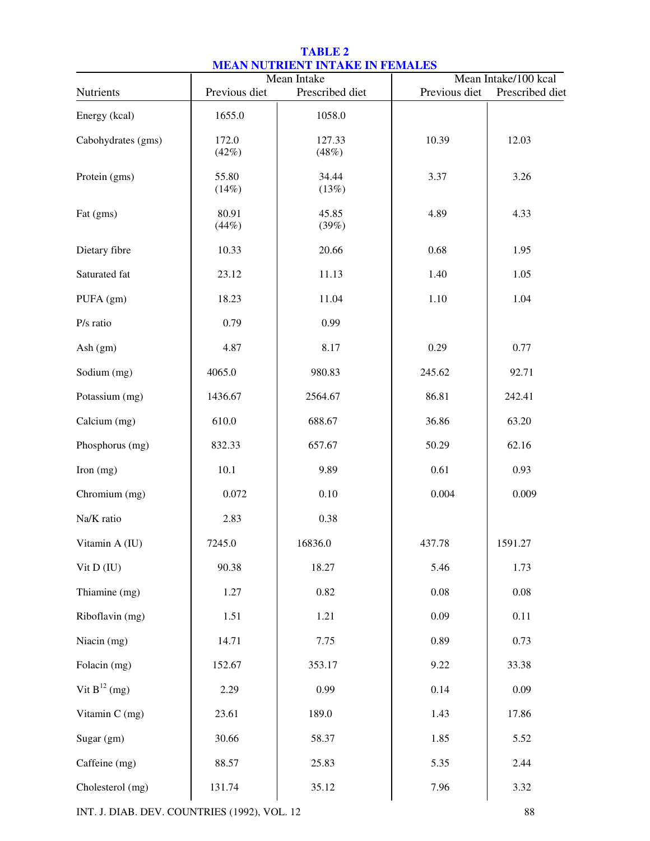| MEAN NOTMENT INTAINE IN FEMALES<br>Mean Intake/100 kcal<br>Mean Intake |                |                 |               |                 |  |
|------------------------------------------------------------------------|----------------|-----------------|---------------|-----------------|--|
| Nutrients                                                              | Previous diet  | Prescribed diet | Previous diet | Prescribed diet |  |
| Energy (kcal)                                                          | 1655.0         | 1058.0          |               |                 |  |
| Cabohydrates (gms)                                                     | 172.0<br>(42%) | 127.33<br>(48%) | 10.39         | 12.03           |  |
| Protein (gms)                                                          | 55.80<br>(14%) | 34.44<br>(13%)  | 3.37          | 3.26            |  |
| Fat (gms)                                                              | 80.91<br>(44%) | 45.85<br>(39%)  | 4.89          | 4.33            |  |
| Dietary fibre                                                          | 10.33          | 20.66           | 0.68          | 1.95            |  |
| Saturated fat                                                          | 23.12          | 11.13           | 1.40          | 1.05            |  |
| PUFA (gm)                                                              | 18.23          | 11.04           | 1.10          | 1.04            |  |
| P/s ratio                                                              | 0.79           | 0.99            |               |                 |  |
| Ash (gm)                                                               | 4.87           | 8.17            | 0.29          | 0.77            |  |
| Sodium (mg)                                                            | 4065.0         | 980.83          | 245.62        | 92.71           |  |
| Potassium (mg)                                                         | 1436.67        | 2564.67         | 86.81         | 242.41          |  |
| Calcium (mg)                                                           | 610.0          | 688.67          | 36.86         | 63.20           |  |
| Phosphorus (mg)                                                        | 832.33         | 657.67          | 50.29         | 62.16           |  |
| Iron (mg)                                                              | 10.1           | 9.89            | 0.61          | 0.93            |  |
| Chromium (mg)                                                          | 0.072          | 0.10            | 0.004         | 0.009           |  |
| Na/K ratio                                                             | 2.83           | 0.38            |               |                 |  |
| Vitamin A (IU)                                                         | 7245.0         | 16836.0         | 437.78        | 1591.27         |  |
| Vit D (IU)                                                             | 90.38          | 18.27           | 5.46          | 1.73            |  |
| Thiamine (mg)                                                          | 1.27           | 0.82            | 0.08          | 0.08            |  |
| Riboflavin (mg)                                                        | 1.51           | 1.21            | 0.09          | 0.11            |  |
| Niacin (mg)                                                            | 14.71          | 7.75            | 0.89          | 0.73            |  |
| Folacin (mg)                                                           | 152.67         | 353.17          | 9.22          | 33.38           |  |
| Vit $B^{12}$ (mg)                                                      | 2.29           | 0.99            | 0.14          | 0.09            |  |
| Vitamin C (mg)                                                         | 23.61          | 189.0           | 1.43          | 17.86           |  |
| Sugar (gm)                                                             | 30.66          | 58.37           | 1.85          | 5.52            |  |
| Caffeine (mg)                                                          | 88.57          | 25.83           | 5.35          | 2.44            |  |
| Cholesterol (mg)                                                       | 131.74         | 35.12           | 7.96          | 3.32            |  |
|                                                                        |                |                 |               |                 |  |

## **TABLE 2 MEAN NUTRIENT INTAKE IN FEMALES**